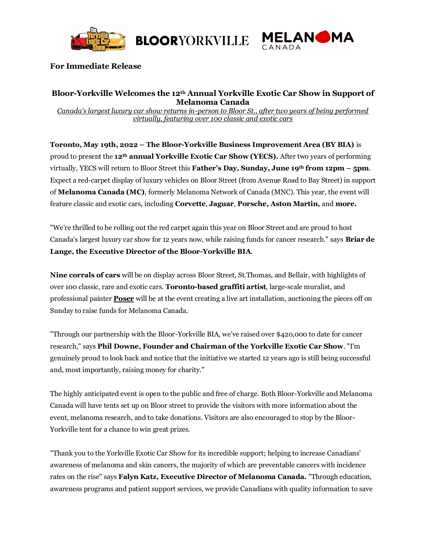

**BLOORYORKVILLE** 



## **For Immediate Release**

# **Bloor-Yorkville Welcomes the 12th Annual Yorkville Exotic Car Show in Support of Melanoma Canada**

*Canada's largest luxury car show returns in-person to Bloor St., after two years of being performed virtually, featuring over 100 classic and exotic cars* 

**Toronto, May 19th, 2022 – The Bloor-Yorkville Business Improvement Area (BY BIA)** is proud to present the **12th annual Yorkville Exotic Car Show (YECS).** After two years of performing virtually, YECS will return to Bloor Street this **Father's Day, Sunday, June 19th from 12pm – 5pm**. Expect a red-carpet display of luxury vehicles on Bloor Street (from Avenue Road to Bay Street) in support of **Melanoma Canada (MC)**, formerly Melanoma Network of Canada (MNC). This year, the event will feature classic and exotic cars, including **Corvette**, **Jaguar**, **Porsche, Aston Martin,** and **more.**

"We're thrilled to be rolling out the red carpet again this year on Bloor Street and are proud to host Canada's largest luxury car show for 12 years now, while raising funds for cancer research." says **Briar de Lange, the Executive Director of the Bloor-Yorkville BIA**.

**Nine corrals of cars** will be on display across Bloor Street, St.Thomas, and Bellair, with highlights of over 100 classic, rare and exotic cars. **Toronto-based graffiti artist**, large-scale muralist, and professional painter **[Poser](https://www.instagram.com/poserabm/)** will be at the event creating a live art installation, auctioning the pieces off on Sunday to raise funds for Melanoma Canada.

"Through our partnership with the Bloor-Yorkville BIA, we've raised over \$420,000 to date for cancer research," says **Phil Downe, Founder and Chairman of the Yorkville Exotic Car Show**. "I'm genuinely proud to look back and notice that the initiative we started 12 years ago is still being successful and, most importantly, raising money for charity."

The highly anticipated event is open to the public and free of charge. Both Bloor-Yorkville and Melanoma Canada will have tents set up on Bloor street to provide the visitors with more information about the event, melanoma research, and to take donations. Visitors are also encouraged to stop by the Bloor-Yorkville tent for a chance to win great prizes.

"Thank you to the Yorkville Exotic Car Show for its incredible support; helping to increase Canadians' awareness of melanoma and skin cancers, the majority of which are preventable cancers with incidence rates on the rise" says **Falyn Katz, Executive Director of Melanoma Canada.** "Through education, awareness programs and patient support services, we provide Canadians with quality information to save